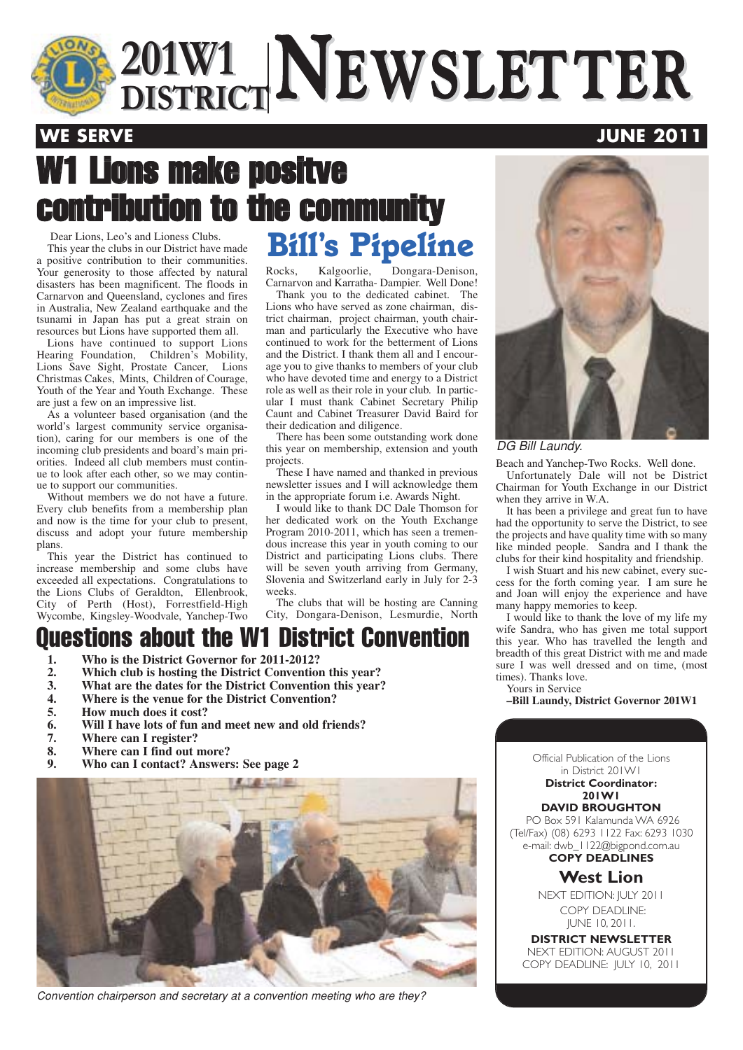

## W1 Lions make positve contribution to the community

Dear Lions, Leo's and Lioness Clubs. This year the clubs in our District have made a positive contribution to their communities. Your generosity to those affected by natural disasters has been magnificent. The floods in Carnarvon and Queensland, cyclones and fires in Australia, New Zealand earthquake and the tsunami in Japan has put a great strain on resources but Lions have supported them all.

Lions have continued to support Lions Hearing Foundation, Children's Mobility, Lions Save Sight, Prostate Cancer, Lions Christmas Cakes, Mints, Children of Courage, Youth of the Year and Youth Exchange. These are just a few on an impressive list.

As a volunteer based organisation (and the world's largest community service organisation), caring for our members is one of the incoming club presidents and board's main priorities. Indeed all club members must continue to look after each other, so we may continue to support our communities.

Without members we do not have a future. Every club benefits from a membership plan and now is the time for your club to present, discuss and adopt your future membership plans.

This year the District has continued to increase membership and some clubs have exceeded all expectations. Congratulations to the Lions Clubs of Geraldton, Ellenbrook, City of Perth (Host), Forrestfield-High Wycombe, Kingsley-Woodvale, Yanchep-Two

# **Bill's Pipeline**

Rocks, Kalgoorlie, Dongara-Denison, Carnarvon and Karratha- Dampier. Well Done!

Thank you to the dedicated cabinet. The Lions who have served as zone chairman, district chairman, project chairman, youth chairman and particularly the Executive who have continued to work for the betterment of Lions and the District. I thank them all and I encourage you to give thanks to members of your club who have devoted time and energy to a District role as well as their role in your club. In particular I must thank Cabinet Secretary Philip Caunt and Cabinet Treasurer David Baird for their dedication and diligence.

There has been some outstanding work done this year on membership, extension and youth projects.

These I have named and thanked in previous newsletter issues and I will acknowledge them in the appropriate forum i.e. Awards Night.

I would like to thank DC Dale Thomson for her dedicated work on the Youth Exchange Program 2010-2011, which has seen a tremendous increase this year in youth coming to our District and participating Lions clubs. There will be seven youth arriving from Germany, Slovenia and Switzerland early in July for 2-3 weeks.

The clubs that will be hosting are Canning City, Dongara-Denison, Lesmurdie, North

### Questions about the W1 District Convention

- **1. Who is the District Governor for 2011-2012?**
- **2. Which club is hosting the District Convention this year?**
- **3. What are the dates for the District Convention this year?**
- **4. Where is the venue for the District Convention?**
- 5. How much does it cost?<br>6. Will I have lots of fun a
- **6. Will I have lots of fun and meet new and old friends?**
- **7. Where can I register?**
- **8. Where can I find out more?**
- **9. Who can I contact? Answers: See page 2**



Convention chairperson and secretary at a convention meeting who are they?

DG Bill Laundy.

Beach and Yanchep-Two Rocks. Well done.

Unfortunately Dale will not be District Chairman for Youth Exchange in our District when they arrive in W.A.

It has been a privilege and great fun to have had the opportunity to serve the District, to see the projects and have quality time with so many like minded people. Sandra and I thank the clubs for their kind hospitality and friendship.

I wish Stuart and his new cabinet, every success for the forth coming year. I am sure he and Joan will enjoy the experience and have many happy memories to keep.

I would like to thank the love of my life my wife Sandra, who has given me total support this year. Who has travelled the length and breadth of this great District with me and made sure I was well dressed and on time, (most times). Thanks love.

Yours in Service

**–Bill Laundy, District Governor 201W1**

Official Publication of the Lions in District 201W1 **District Coordinator: 201W1**

#### **DAVID BROUGHTON**

PO Box 591 Kalamunda WA 6926 (Tel/Fax) (08) 6293 1122 Fax: 6293 1030 e-mail: dwb\_1122@bigpond.com.au **COPY DEADLINES**

#### **West Lion**

NEXT EDITION: JULY 2011 COPY DEADLINE: JUNE 10, 2011.

**DISTRICT NEWSLETTER** NEXT EDITION: AUGUST 2011 COPY DEADLINE: JULY 10, 2011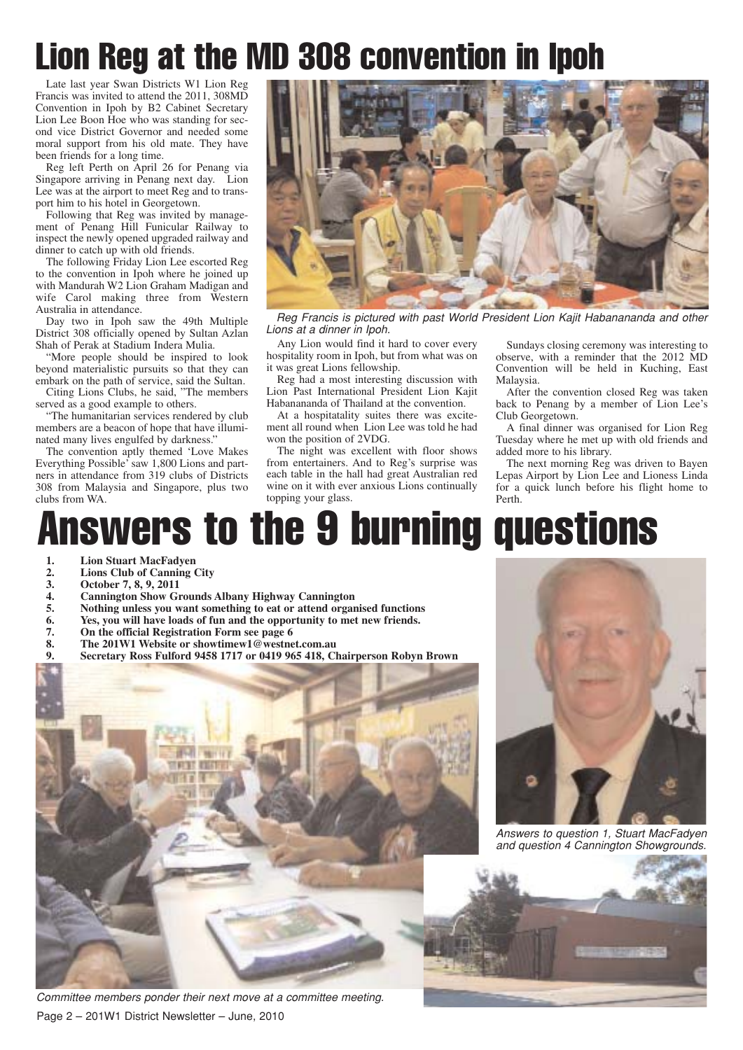## Lion Reg at the MD 308 convention in Ipoh

Late last year Swan Districts W1 Lion Reg Francis was invited to attend the 2011, 308MD Convention in Ipoh by B2 Cabinet Secretary Lion Lee Boon Hoe who was standing for second vice District Governor and needed some moral support from his old mate. They have been friends for a long time.

Reg left Perth on April 26 for Penang via Singapore arriving in Penang next day. Lion Lee was at the airport to meet Reg and to transport him to his hotel in Georgetown.

Following that Reg was invited by management of Penang Hill Funicular Railway to inspect the newly opened upgraded railway and dinner to catch up with old friends.

The following Friday Lion Lee escorted Reg to the convention in Ipoh where he joined up with Mandurah W2 Lion Graham Madigan and wife Carol making three from Western Australia in attendance.

Day two in Ipoh saw the 49th Multiple District 308 officially opened by Sultan Azlan Shah of Perak at Stadium Indera Mulia.

"More people should be inspired to look beyond materialistic pursuits so that they can embark on the path of service, said the Sultan.

Citing Lions Clubs, he said, "The members served as a good example to others.

"The humanitarian services rendered by club members are a beacon of hope that have illuminated many lives engulfed by darkness."

The convention aptly themed 'Love Makes Everything Possible' saw 1,800 Lions and partners in attendance from 319 clubs of Districts 308 from Malaysia and Singapore, plus two clubs from WA.



Reg Francis is pictured with past World President Lion Kajit Habanananda and other Lions at a dinner in Ipoh.

Any Lion would find it hard to cover every hospitality room in Ipoh, but from what was on it was great Lions fellowship.

Reg had a most interesting discussion with Lion Past International President Lion Kajit Habanananda of Thailand at the convention.

At a hospitatality suites there was excitement all round when Lion Lee was told he had won the position of 2VDG.

The night was excellent with floor shows from entertainers. And to Reg's surprise was each table in the hall had great Australian red wine on it with ever anxious Lions continually topping your glass.

Sundays closing ceremony was interesting to observe, with a reminder that the 2012 MD Convention will be held in Kuching, East Malaysia.

After the convention closed Reg was taken back to Penang by a member of Lion Lee's Club Georgetown.

A final dinner was organised for Lion Reg Tuesday where he met up with old friends and added more to his library.

The next morning Reg was driven to Bayen Lepas Airport by Lion Lee and Lioness Linda for a quick lunch before his flight home to Perth.

## Answers to the 9 burning questions

- 
- 1. Lion Stuart MacFadyen<br>
2. Lions Club of Canning 0<br>
3. October 7, 8, 9, 2011 **2. Lions Club of Canning City**
- 
- 3. October 7, 8, 9, 2011<br>
4. Cannington Show G1<br>
5. Nothing unless you w<br>
6. Yes, you will have log<br>
7. On the official Regist<br>
8. The 201W1 Website<br>
9. Secretary Ross Fulfo **4. Cannington Show Grounds Albany Highway Cannington**
- **5. Nothing unless you want something to eat or attend organised functions**
- **6. Yes, you will have loads of fun and the opportunity to met new friends.**
- **7. On the official Registration Form see page 6**
- **8. The 201W1 Website or showtimew1@westnet.com.au**
	- **9. Secretary Ross Fulford 9458 1717 or 0419 965 418, Chairperson Robyn Brown**



Page 2 – 201W1 District Newsletter – June, 2010 Committee members ponder their next move at a committee meeting.



Answers to question 1, Stuart MacFadyen and question 4 Cannington Showgrounds.

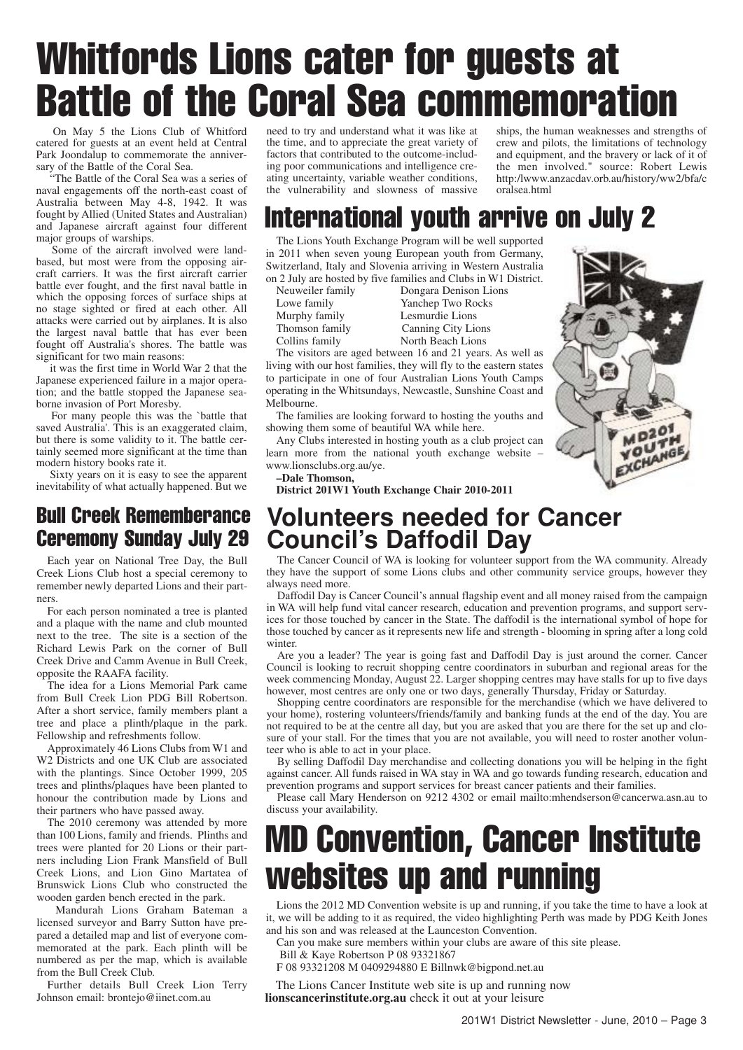## Whitfords Lions cater for guests at Battle of the Coral Sea commemoration

On May 5 the Lions Club of Whitford catered for guests at an event held at Central Park Joondalup to commemorate the anniversary of the Battle of the Coral Sea.

"The Battle of the Coral Sea was a series of naval engagements off the north-east coast of Australia between May 4-8, 1942. It was fought by Allied (United States and Australian) and Japanese aircraft against four different major groups of warships.

Some of the aircraft involved were landbased, but most were from the opposing aircraft carriers. It was the first aircraft carrier battle ever fought, and the first naval battle in which the opposing forces of surface ships at no stage sighted or fired at each other. All attacks were carried out by airplanes. It is also the largest naval battle that has ever been fought off Australia's shores. The battle was significant for two main reasons:

it was the first time in World War 2 that the Japanese experienced failure in a major operation; and the battle stopped the Japanese seaborne invasion of Port Moresby.

For many people this was the `battle that saved Australia'. This is an exaggerated claim, but there is some validity to it. The battle certainly seemed more significant at the time than modern history books rate it.

Sixty years on it is easy to see the apparent inevitability of what actually happened. But we

### Bull Creek Rememberance Ceremony Sunday July 29

Each year on National Tree Day, the Bull Creek Lions Club host a special ceremony to remember newly departed Lions and their partners.

For each person nominated a tree is planted and a plaque with the name and club mounted next to the tree. The site is a section of the Richard Lewis Park on the corner of Bull Creek Drive and Camm Avenue in Bull Creek, opposite the RAAFA facility.

The idea for a Lions Memorial Park came from Bull Creek Lion PDG Bill Robertson. After a short service, family members plant a tree and place a plinth/plaque in the park. Fellowship and refreshments follow.

Approximately 46 Lions Clubs from W1 and W<sub>2</sub> Districts and one UK Club are associated with the plantings. Since October 1999, 205 trees and plinths/plaques have been planted to honour the contribution made by Lions and their partners who have passed away.

The 2010 ceremony was attended by more than 100 Lions, family and friends. Plinths and trees were planted for 20 Lions or their partners including Lion Frank Mansfield of Bull Creek Lions, and Lion Gino Martatea of Brunswick Lions Club who constructed the wooden garden bench erected in the park.

Mandurah Lions Graham Bateman a licensed surveyor and Barry Sutton have prepared a detailed map and list of everyone commemorated at the park. Each plinth will be numbered as per the map, which is available from the Bull Creek Club.

Further details Bull Creek Lion Terry Johnson email: brontejo@iinet.com.au

need to try and understand what it was like at the time, and to appreciate the great variety of factors that contributed to the outcome-including poor communications and intelligence creating uncertainty, variable weather conditions, the vulnerability and slowness of massive

ships, the human weaknesses and strengths of crew and pilots, the limitations of technology and equipment, and the bravery or lack of it of the men involved." source: Robert Lewis http:/lwww.anzacdav.orb.au/history/ww2/bfa/c oralsea.html

## International youth arrive on July 2

The Lions Youth Exchange Program will be well supported in 2011 when seven young European youth from Germany, Switzerland, Italy and Slovenia arriving in Western Australia on 2 July are hosted by five families and Clubs in W1 District.

Neuweiler family Dongara Denison Lions Lowe family Yanchep Two Rocks<br>Murphy family Lesmurdie Lions Lesmurdie Lions Thomson family Canning City Lions<br>
Collins family North Beach Lions North Beach Lions

The visitors are aged between 16 and 21 years. As well as living with our host families, they will fly to the eastern states to participate in one of four Australian Lions Youth Camps operating in the Whitsundays, Newcastle, Sunshine Coast and Melbourne.

The families are looking forward to hosting the youths and showing them some of beautiful WA while here.

Any Clubs interested in hosting youth as a club project can learn more from the national youth exchange website – www.lionsclubs.org.au/ye.

**–Dale Thomson,**

**District 201W1 Youth Exchange Chair 2010-2011**



### **Volunteers needed for Cancer Council's Daffodil Day**

The Cancer Council of WA is looking for volunteer support from the WA community. Already they have the support of some Lions clubs and other community service groups, however they always need more.

Daffodil Day is Cancer Council's annual flagship event and all money raised from the campaign in WA will help fund vital cancer research, education and prevention programs, and support services for those touched by cancer in the State. The daffodil is the international symbol of hope for those touched by cancer as it represents new life and strength - blooming in spring after a long cold winter.

Are you a leader? The year is going fast and Daffodil Day is just around the corner. Cancer Council is looking to recruit shopping centre coordinators in suburban and regional areas for the week commencing Monday, August 22. Larger shopping centres may have stalls for up to five days however, most centres are only one or two days, generally Thursday, Friday or Saturday.

Shopping centre coordinators are responsible for the merchandise (which we have delivered to your home), rostering volunteers/friends/family and banking funds at the end of the day. You are not required to be at the centre all day, but you are asked that you are there for the set up and closure of your stall. For the times that you are not available, you will need to roster another volunteer who is able to act in your place.

By selling Daffodil Day merchandise and collecting donations you will be helping in the fight against cancer. All funds raised in WA stay in WA and go towards funding research, education and prevention programs and support services for breast cancer patients and their families.

Please call Mary Henderson on 9212 4302 or email mailto:mhendserson@cancerwa.asn.au to discuss your availability.

## MD Convention, Cancer Institute websites up and running

Lions the 2012 MD Convention website is up and running, if you take the time to have a look at it, we will be adding to it as required, the video highlighting Perth was made by PDG Keith Jones and his son and was released at the Launceston Convention.

Can you make sure members within your clubs are aware of this site please.

Bill & Kaye Robertson P 08 93321867

F 08 93321208 M 0409294880 E Billnwk@bigpond.net.au

The Lions Cancer Institute web site is up and running now **lionscancerinstitute.org.au** check it out at your leisure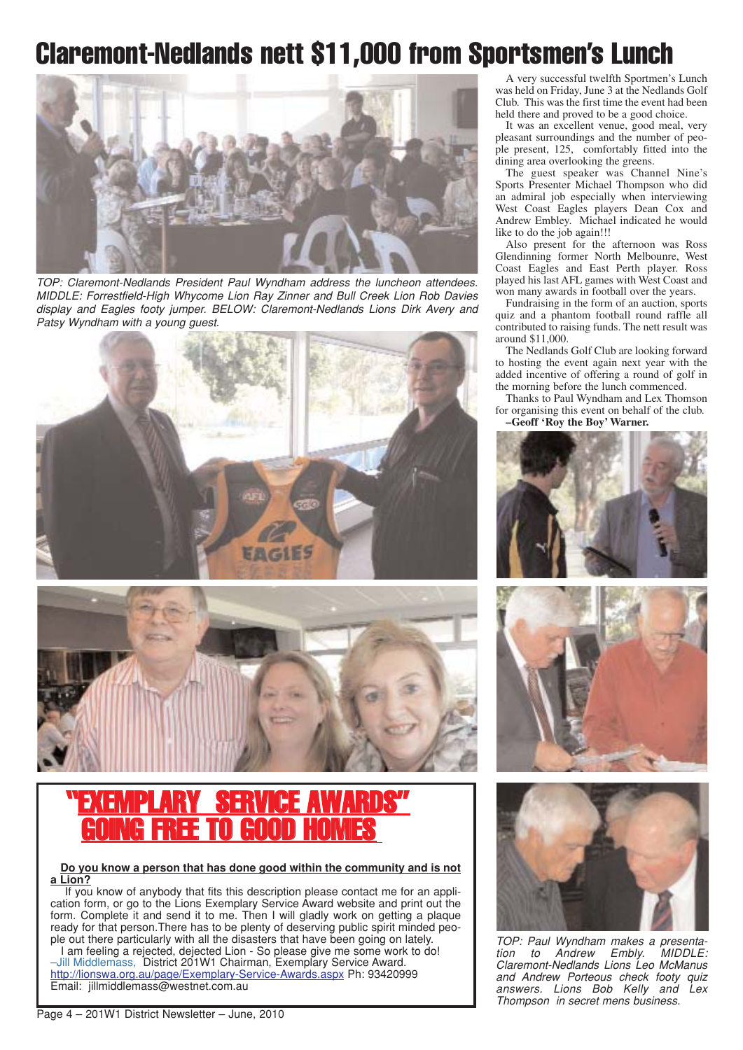## Claremont-Nedlands nett \$11,000 from Sportsmen's Lunch



TOP: Claremont-Nedlands President Paul Wyndham address the luncheon attendees. MIDDLE: Forrestfield-High Whycome Lion Ray Zinner and Bull Creek Lion Rob Davies display and Eagles footy jumper. BELOW: Claremont-Nedlands Lions Dirk Avery and Patsy Wyndham with a young quest.



![](_page_3_Picture_4.jpeg)

### **SERVICE AWA** GOING FREE TO GOOD HOMES

**Do you know a person that has done good within the community and is not a Lion?**

If you know of anybody that fits this description please contact me for an application form, or go to the Lions Exemplary Service Award website and print out the form. Complete it and send it to me. Then I will gladly work on getting a plaque ready for that person.There has to be plenty of deserving public spirit minded people out there particularly with all the disasters that have been going on lately.

I am feeling a rejected, dejected Lion - So please give me some work to do! –Jill Middlemass, District 201W1 Chairman, Exemplary Service Award. http://lionswa.org.au/page/Exemplary-Service-Awards.aspx Ph: 93420999 Email: jillmiddlemass@westnet.com.au

A very successful twelfth Sportmen's Lunch was held on Friday, June 3 at the Nedlands Golf Club. This was the first time the event had been held there and proved to be a good choice.

It was an excellent venue, good meal, very pleasant surroundings and the number of people present, 125, comfortably fitted into the dining area overlooking the greens.

The guest speaker was Channel Nine's Sports Presenter Michael Thompson who did an admiral job especially when interviewing West Coast Eagles players Dean Cox and Andrew Embley. Michael indicated he would like to do the job again!!!

Also present for the afternoon was Ross Glendinning former North Melbounre, West Coast Eagles and East Perth player. Ross played his last AFL games with West Coast and won many awards in football over the years.

Fundraising in the form of an auction, sports quiz and a phantom football round raffle all contributed to raising funds. The nett result was around \$11,000.

The Nedlands Golf Club are looking forward to hosting the event again next year with the added incentive of offering a round of golf in the morning before the lunch commenced.

Thanks to Paul Wyndham and Lex Thomson for organising this event on behalf of the club. **–Geoff 'Roy the Boy' Warner.**

![](_page_3_Picture_16.jpeg)

![](_page_3_Picture_17.jpeg)

![](_page_3_Picture_18.jpeg)

TOP: Paul Wyndham makes a presenta-<br>tion to Andrew Embly. MIDDLE: tion to Andrew Embly. Claremont-Nedlands Lions Leo McManus and Andrew Porteous check footy quiz answers. Lions Bob Kelly and Lex Thompson in secret mens business.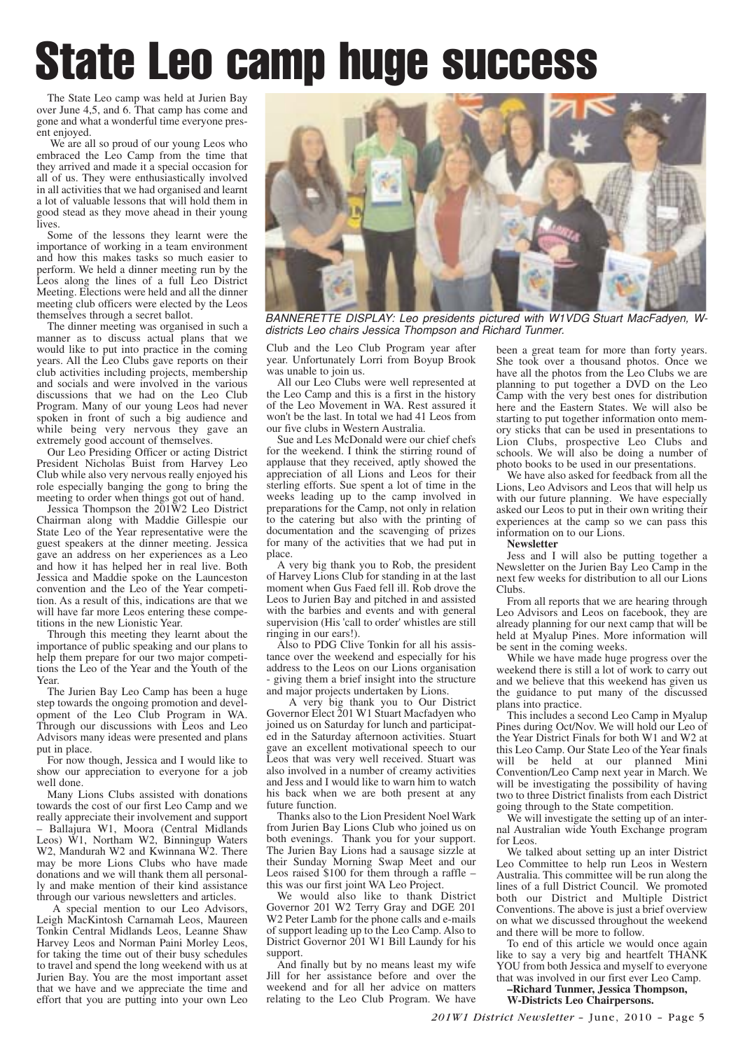# State Leo camp huge success

The State Leo camp was held at Jurien Bay over June 4,5, and 6. That camp has come and gone and what a wonderful time everyone present enjoyed.

We are all so proud of our young Leos who embraced the Leo Camp from the time that they arrived and made it a special occasion for all of us. They were enthusiastically involved in all activities that we had organised and learnt a lot of valuable lessons that will hold them in good stead as they move ahead in their young lives.

Some of the lessons they learnt were the importance of working in a team environment and how this makes tasks so much easier to perform. We held a dinner meeting run by the Leos along the lines of a full Leo District Meeting. Elections were held and all the dinner meeting club officers were elected by the Leos themselves through a secret ballot.

The dinner meeting was organised in such a manner as to discuss actual plans that we would like to put into practice in the coming years. All the Leo Clubs gave reports on their club activities including projects, membership and socials and were involved in the various discussions that we had on the Leo Club Program. Many of our young Leos had never spoken in front of such a big audience and while being very nervous they gave an extremely good account of themselves.

Our Leo Presiding Officer or acting District President Nicholas Buist from Harvey Leo Club while also very nervous really enjoyed his role especially banging the gong to bring the meeting to order when things got out of hand.

Jessica Thompson the 201W2 Leo District Chairman along with Maddie Gillespie our State Leo of the Year representative were the guest speakers at the dinner meeting. Jessica gave an address on her experiences as a Leo and how it has helped her in real live. Both Jessica and Maddie spoke on the Launceston convention and the Leo of the Year competition. As a result of this, indications are that we will have far more Leos entering these competitions in the new Lionistic Year.

Through this meeting they learnt about the importance of public speaking and our plans to help them prepare for our two major competitions the Leo of the Year and the Youth of the Year.

The Jurien Bay Leo Camp has been a huge step towards the ongoing promotion and development of the Leo Club Program in WA. Through our discussions with Leos and Leo Advisors many ideas were presented and plans put in place.

For now though, Jessica and I would like to show our appreciation to everyone for a job well done.

Many Lions Clubs assisted with donations towards the cost of our first Leo Camp and we really appreciate their involvement and support

– Ballajura W1, Moora (Central Midlands Leos) W1, Northam W2, Binningup Waters W2, Mandurah W2 and Kwinnana W2. There may be more Lions Clubs who have made donations and we will thank them all personally and make mention of their kind assistance through our various newsletters and articles.

A special mention to our Leo Advisors, Leigh MacKintosh Carnamah Leos, Maureen Tonkin Central Midlands Leos, Leanne Shaw Harvey Leos and Norman Paini Morley Leos, for taking the time out of their busy schedules to travel and spend the long weekend with us at Jurien Bay. You are the most important asset that we have and we appreciate the time and effort that you are putting into your own Leo

![](_page_4_Picture_13.jpeg)

BANNERETTE DISPLAY: Leo presidents pictured with W1VDG Stuart MacFadyen, Wdistricts Leo chairs Jessica Thompson and Richard Tunmer.

Club and the Leo Club Program year after year. Unfortunately Lorri from Boyup Brook was unable to join us.

All our Leo Clubs were well represented at the Leo Camp and this is a first in the history of the Leo Movement in WA. Rest assured it won't be the last. In total we had 41 Leos from our five clubs in Western Australia.

Sue and Les McDonald were our chief chefs for the weekend. I think the stirring round of applause that they received, aptly showed the appreciation of all Lions and Leos for their sterling efforts. Sue spent a lot of time in the weeks leading up to the camp involved in preparations for the Camp, not only in relation to the catering but also with the printing of documentation and the scavenging of prizes for many of the activities that we had put in place.

A very big thank you to Rob, the president of Harvey Lions Club for standing in at the last moment when Gus Faed fell ill. Rob drove the Leos to Jurien Bay and pitched in and assisted with the barbies and events and with general supervision (His 'call to order' whistles are still ringing in our ears!).

Also to PDG Clive Tonkin for all his assistance over the weekend and especially for his address to the Leos on our Lions organisation - giving them a brief insight into the structure and major projects undertaken by Lions.

A very big thank you to Our District Governor Elect 201 W1 Stuart Macfadyen who joined us on Saturday for lunch and participated in the Saturday afternoon activities. Stuart gave an excellent motivational speech to our Leos that was very well received. Stuart was also involved in a number of creamy activities and Jess and I would like to warn him to watch his back when we are both present at any future function.

Thanks also to the Lion President Noel Wark from Jurien Bay Lions Club who joined us on both evenings. Thank you for your support. The Jurien Bay Lions had a sausage sizzle at their Sunday Morning Swap Meet and our Leos raised \$100 for them through a raffle – this was our first joint WA Leo Project.

We would also like to thank District Governor 201 W2 Terry Gray and DGE 201 W2 Peter Lamb for the phone calls and e-mails of support leading up to the Leo Camp. Also to District Governor 201 W1 Bill Laundy for his support.

And finally but by no means least my wife Jill for her assistance before and over the weekend and for all her advice on matters relating to the Leo Club Program. We have

been a great team for more than forty years. She took over a thousand photos. Once we have all the photos from the Leo Clubs we are planning to put together a DVD on the Leo Camp with the very best ones for distribution here and the Eastern States. We will also be starting to put together information onto memory sticks that can be used in presentations to Lion Clubs, prospective Leo Clubs and schools. We will also be doing a number of photo books to be used in our presentations.

We have also asked for feedback from all the Lions, Leo Advisors and Leos that will help us with our future planning. We have especially asked our Leos to put in their own writing their experiences at the camp so we can pass this information on to our Lions.

**Newsletter**

Jess and I will also be putting together a Newsletter on the Jurien Bay Leo Camp in the next few weeks for distribution to all our Lions Clubs.

From all reports that we are hearing through Leo Advisors and Leos on facebook, they are already planning for our next camp that will be held at Myalup Pines. More information will be sent in the coming weeks.

While we have made huge progress over the weekend there is still a lot of work to carry out and we believe that this weekend has given us the guidance to put many of the discussed plans into practice.

This includes a second Leo Camp in Myalup Pines during Oct/Nov. We will hold our Leo of the Year District Finals for both W1 and W2 at this Leo Camp. Our State Leo of the Year finals will be held at our planned Mini Convention/Leo Camp next year in March. We will be investigating the possibility of having two to three District finalists from each District going through to the State competition.

We will investigate the setting up of an internal Australian wide Youth Exchange program for Leos.

We talked about setting up an inter District Leo Committee to help run Leos in Western Australia. This committee will be run along the lines of a full District Council. We promoted both our District and Multiple District Conventions. The above is just a brief overview on what we discussed throughout the weekend and there will be more to follow.

To end of this article we would once again like to say a very big and heartfelt THANK YOU from both Jessica and myself to everyone that was involved in our first ever Leo Camp.

**–Richard Tunmer, Jessica Thompson, W-Districts Leo Chairpersons.**